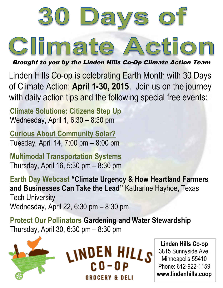

Brought to you by the Linden Hills Co-Op Climate Action Team

Linden Hills Co-op is celebrating Earth Month with 30 Days of Climate Action: **April 1-30, 2015**. Join us on the journey with daily action tips and the following special free events:

**Climate Solutions: Citizens Step Up** Wednesday, April 1, 6:30 – 8:30 pm

**Curious About Community Solar?** Tuesday, April 14, 7:00 pm – 8:00 pm

**Multimodal Transportation Systems** Thursday, April 16, 5:30 pm – 8:30 pm

**Earth Day Webcast "Climate Urgency & How Heartland Farmers and Businesses Can Take the Lead"** Katharine Hayhoe, Texas Tech University Wednesday, April 22, 6:30 pm – 8:30 pm

**Protect Our Pollinators Gardening and Water Stewardship** Thursday, April 30, 6:30 pm – 8:30 pm



**Linden Hills Co-op** 3815 Sunnyside Ave. Minneapolis 55410 Phone: 612-922-1159 **www.lindenhills.coop**